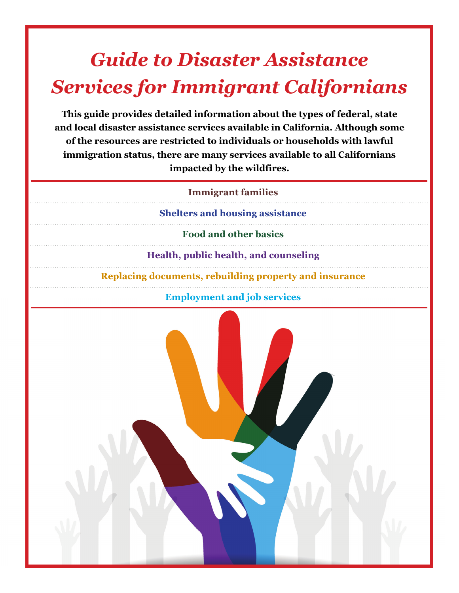# *Guide to Disaster Assistance Services for Immigrant Californians*

**This guide provides detailed information about the types of federal, state and local disaster assistance services available in California. Although some of the resources are restricted to individuals or households with lawful immigration status, there are many services available to all Californians impacted by the wildfires.** 

#### **Immigrant families**

**Shelters and housing assistance**

#### **Food and other basics**

**Health, public health, and counseling**

**Replacing documents, rebuilding property and insurance**

## **Employment and job services**

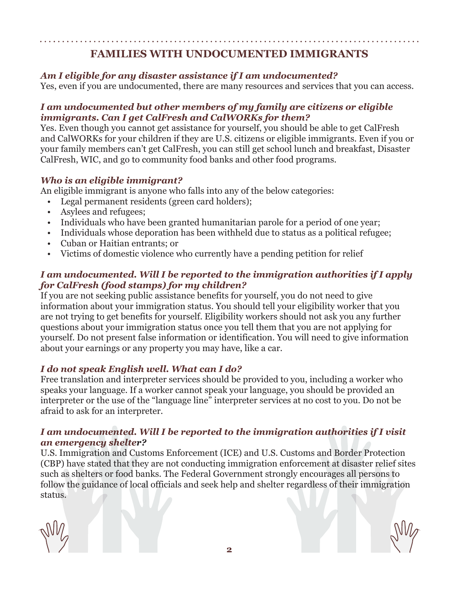# **FAMILIES WITH UNDOCUMENTED IMMIGRANTS**

## *Am I eligible for any disaster assistance if I am undocumented?*

Yes, even if you are undocumented, there are many resources and services that you can access.

## *I am undocumented but other members of my family are citizens or eligible immigrants. Can I get CalFresh and CalWORKs for them?*

Yes. Even though you cannot get assistance for yourself, you should be able to get CalFresh and CalWORKs for your children if they are U.S. citizens or eligible immigrants. Even if you or your family members can't get CalFresh, you can still get school lunch and breakfast, Disaster CalFresh, WIC, and go to community food banks and other food programs.

## *Who is an eligible immigrant?*

An eligible immigrant is anyone who falls into any of the below categories:

- Legal permanent residents (green card holders);
- Asylees and refugees;
- Individuals who have been granted humanitarian parole for a period of one year;
- Individuals whose deporation has been withheld due to status as a political refugee;
- Cuban or Haitian entrants; or
- Victims of domestic violence who currently have a pending petition for relief

## *I am undocumented. Will I be reported to the immigration authorities if I apply for CalFresh (food stamps) for my children?*

If you are not seeking public assistance benefits for yourself, you do not need to give information about your immigration status. You should tell your eligibility worker that you are not trying to get benefits for yourself. Eligibility workers should not ask you any further questions about your immigration status once you tell them that you are not applying for yourself. Do not present false information or identification. You will need to give information about your earnings or any property you may have, like a car.

## *I do not speak English well. What can I do?*

Free translation and interpreter services should be provided to you, including a worker who speaks your language. If a worker cannot speak your language, you should be provided an interpreter or the use of the "language line" interpreter services at no cost to you. Do not be afraid to ask for an interpreter.

#### *I am undocumented. Will I be reported to the immigration authorities if I visit an emergency shelter?*

U.S. Immigration and Customs Enforcement (ICE) and U.S. Customs and Border Protection (CBP) have stated that they are not conducting immigration enforcement at disaster relief sites such as shelters or food banks. The Federal Government strongly encourages all persons to follow the guidance of local officials and seek help and shelter regardless of their immigration status.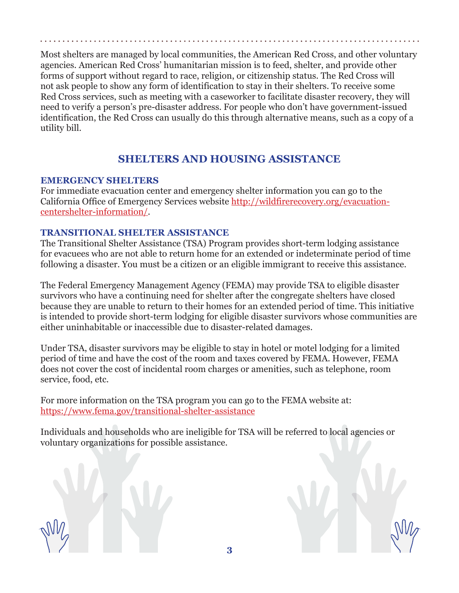Most shelters are managed by local communities, the American Red Cross, and other voluntary agencies. American Red Cross' humanitarian mission is to feed, shelter, and provide other forms of support without regard to race, religion, or citizenship status. The Red Cross will not ask people to show any form of identification to stay in their shelters. To receive some Red Cross services, such as meeting with a caseworker to facilitate disaster recovery, they will need to verify a person's pre-disaster address. For people who don't have government-issued identification, the Red Cross can usually do this through alternative means, such as a copy of a utility bill.

## **SHELTERS AND HOUSING ASSISTANCE**

## **EMERGENCY SHELTERS**

For immediate evacuation center and emergency shelter information you can go to the California Office of Emergency Services website http://wildfirerecovery.org/evacuationcentershelter-information/.

## **TRANSITIONAL SHELTER ASSISTANCE**

The Transitional Shelter Assistance (TSA) Program provides short-term lodging assistance for evacuees who are not able to return home for an extended or indeterminate period of time following a disaster. You must be a citizen or an eligible immigrant to receive this assistance.

The Federal Emergency Management Agency (FEMA) may provide TSA to eligible disaster survivors who have a continuing need for shelter after the congregate shelters have closed because they are unable to return to their homes for an extended period of time. This initiative is intended to provide short-term lodging for eligible disaster survivors whose communities are either uninhabitable or inaccessible due to disaster-related damages.

Under TSA, disaster survivors may be eligible to stay in hotel or motel lodging for a limited period of time and have the cost of the room and taxes covered by FEMA. However, FEMA does not cover the cost of incidental room charges or amenities, such as telephone, room service, food, etc.

For more information on the TSA program you can go to the FEMA website at: https://www.fema.gov/transitional-shelter-assistance

Individuals and households who are ineligible for TSA will be referred to local agencies or voluntary organizations for possible assistance.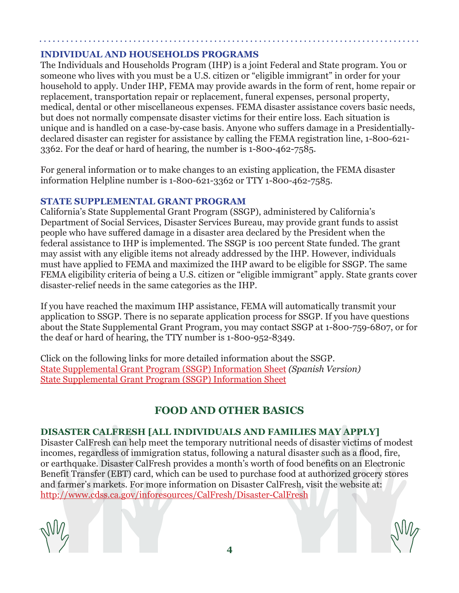## **INDIVIDUAL AND HOUSEHOLDS PROGRAMS**

The Individuals and Households Program (IHP) is a joint Federal and State program. You or someone who lives with you must be a U.S. citizen or "eligible immigrant" in order for your household to apply. Under IHP, FEMA may provide awards in the form of rent, home repair or replacement, transportation repair or replacement, funeral expenses, personal property, medical, dental or other miscellaneous expenses. FEMA disaster assistance covers basic needs, but does not normally compensate disaster victims for their entire loss. Each situation is unique and is handled on a case-by-case basis. Anyone who suffers damage in a Presidentiallydeclared disaster can register for assistance by calling the FEMA registration line, 1-800-621- 3362. For the deaf or hard of hearing, the number is 1-800-462-7585.

For general information or to make changes to an existing application, the FEMA disaster information Helpline number is 1-800-621-3362 or TTY 1-800-462-7585.

#### **STATE SUPPLEMENTAL GRANT PROGRAM**

California's State Supplemental Grant Program (SSGP), administered by California's Department of Social Services, Disaster Services Bureau, may provide grant funds to assist people who have suffered damage in a disaster area declared by the President when the federal assistance to IHP is implemented. The SSGP is 100 percent State funded. The grant may assist with any eligible items not already addressed by the IHP. However, individuals must have applied to FEMA and maximized the IHP award to be eligible for SSGP. The same FEMA eligibility criteria of being a U.S. citizen or "eligible immigrant" apply. State grants cover disaster-relief needs in the same categories as the IHP.

If you have reached the maximum IHP assistance, FEMA will automatically transmit your application to SSGP. There is no separate application process for SSGP. If you have questions about the State Supplemental Grant Program, you may contact SSGP at 1-800-759-6807, or for the deaf or hard of hearing, the TTY number is 1-800-952-8349.

Click on the following links for more detailed information about the SSGP. [State Supplemental Grant Program \(SSGP\) Information Sheet](http://www.cdss.ca.gov/cdssweb/entres/forms/Spanish/SSGP45SP.pdf) *(Spanish Version)*  [State Supplemental Grant Program \(SSGP\) Information Sheet](http://www.cdss.ca.gov/cdssweb/entres/forms/English/SSGP45.pdf)

## **FOOD AND OTHER BASICS**

## **DISASTER CALFRESH [ALL INDIVIDUALS AND FAMILIES MAY APPLY]**

Disaster CalFresh can help meet the temporary nutritional needs of disaster victims of modest incomes, regardless of immigration status, following a natural disaster such as a flood, fire, or earthquake. Disaster CalFresh provides a month's worth of food benefits on an Electronic Benefit Transfer (EBT) card, which can be used to purchase food at authorized grocery stores and farmer's markets. For more information on Disaster CalFresh, visit the website at: <http://www.cdss.ca.gov/inforesources/CalFresh/Disaster-CalFresh>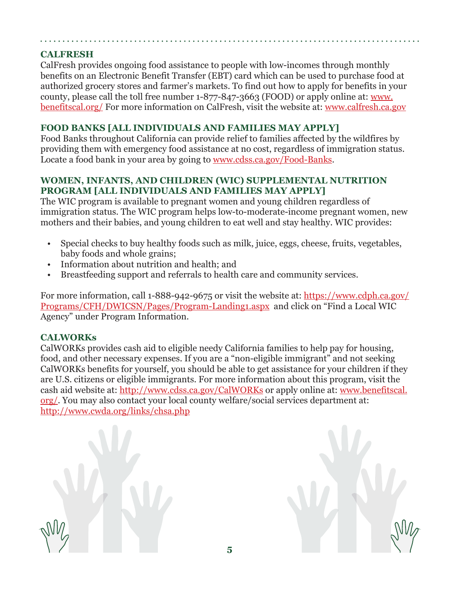## **CALFRESH**

CalFresh provides ongoing food assistance to people with low-incomes through monthly benefits on an Electronic Benefit Transfer (EBT) card which can be used to purchase food at authorized grocery stores and farmer's markets. To find out how to apply for benefits in your county, please call the toll free number 1-877-847-3663 (FOOD) or apply online at: www. benefitscal.org/ For more information on CalFresh, visit the website at: www.calfresh.ca.gov

## **FOOD BANKS [ALL INDIVIDUALS AND FAMILIES MAY APPLY]**

Food Banks throughout California can provide relief to families affected by the wildfires by providing them with emergency food assistance at no cost, regardless of immigration status. Locate a food bank in your area by going to www.cdss.ca.gov/Food-Banks.

## **WOMEN, INFANTS, AND CHILDREN (WIC) SUPPLEMENTAL NUTRITION PROGRAM [ALL INDIVIDUALS AND FAMILIES MAY APPLY]**

The WIC program is available to pregnant women and young children regardless of immigration status. The WIC program helps low-to-moderate-income pregnant women, new mothers and their babies, and young children to eat well and stay healthy. WIC provides:

- Special checks to buy healthy foods such as milk, juice, eggs, cheese, fruits, vegetables, baby foods and whole grains;
- Information about nutrition and health; and
- Breastfeeding support and referrals to health care and community services.

For more information, call 1-888-942-9675 or visit the website at: https://www.cdph.ca.gov/ Programs/CFH/DWICSN/Pages/Program-Landing1.aspx and click on "Find a Local WIC Agency" under Program Information.

## **CALWORKs**

CalWORKs provides cash aid to eligible needy California families to help pay for housing, food, and other necessary expenses. If you are a "non-eligible immigrant" and not seeking CalWORKs benefits for yourself, you should be able to get assistance for your children if they are U.S. citizens or eligible immigrants. For more information about this program, visit the cash aid website at: http://www.cdss.ca.gov/CalWORKs or apply online at: www.benefitscal. org/. You may also contact your local county welfare/social services department at: [http://www.cwda.org/links/chsa.php](https://www.cwda.org/membership)

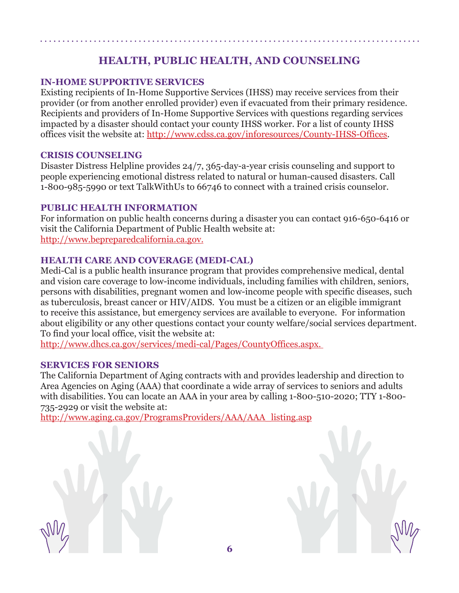# **HEALTH, PUBLIC HEALTH, AND COUNSELING**

## **IN-HOME SUPPORTIVE SERVICES**

Existing recipients of In-Home Supportive Services (IHSS) may receive services from their provider (or from another enrolled provider) even if evacuated from their primary residence. Recipients and providers of In-Home Supportive Services with questions regarding services impacted by a disaster should contact your county IHSS worker. For a list of county IHSS offices visit the website at: http://www.cdss.ca.gov/inforesources/County-IHSS-Offices.

## **CRISIS COUNSELING**

Disaster Distress Helpline provides 24/7, 365-day-a-year crisis counseling and support to people experiencing emotional distress related to natural or human-caused disasters. Call 1-800-985-5990 or text TalkWithUs to 66746 to connect with a trained crisis counselor.

## **PUBLIC HEALTH INFORMATION**

For information on public health concerns during a disaster you can contact 916-650-6416 or visit the California Department of Public Health website at: http://www.bepreparedcalifornia.ca.gov.

## **HEALTH CARE AND COVERAGE (MEDI-CAL)**

Medi-Cal is a public health insurance program that provides comprehensive medical, dental and vision care coverage to low-income individuals, including families with children, seniors, persons with disabilities, pregnant women and low-income people with specific diseases, such as tuberculosis, breast cancer or HIV/AIDS. You must be a citizen or an eligible immigrant to receive this assistance, but emergency services are available to everyone. For information about eligibility or any other questions contact your county welfare/social services department. To find your local office, visit the website at:

http://www.dhcs.ca.gov/services/medi-cal/Pages/CountyOffices.aspx.

## **SERVICES FOR SENIORS**

The California Department of Aging contracts with and provides leadership and direction to Area Agencies on Aging (AAA) that coordinate a wide array of services to seniors and adults with disabilities. You can locate an AAA in your area by calling 1-800-510-2020; TTY 1-800- 735-2929 or visit the website at:

[http://www.aging.ca.gov/ProgramsProviders/AAA/AAA\\_listing.asp](http://www.aging.ca.gov/ProgramsProviders/AAA/AAA_Listing.aspx)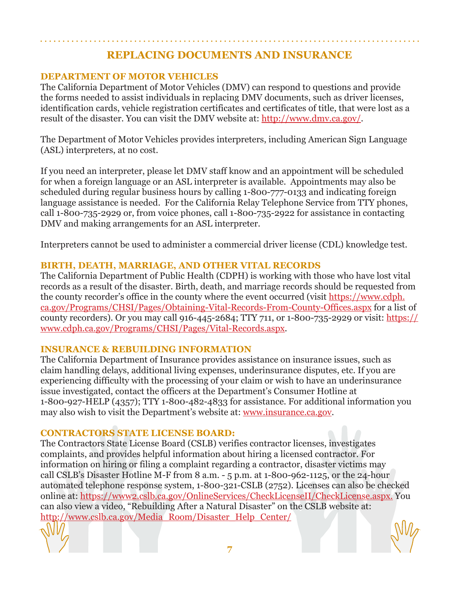# **REPLACING DOCUMENTS AND INSURANCE**

## **DEPARTMENT OF MOTOR VEHICLES**

The California Department of Motor Vehicles (DMV) can respond to questions and provide the forms needed to assist individuals in replacing DMV documents, such as driver licenses, identification cards, vehicle registration certificates and certificates of title, that were lost as a result of the disaster. You can visit the DMV website at: http://www.dmv.ca.gov/.

The Department of Motor Vehicles provides interpreters, including American Sign Language (ASL) interpreters, at no cost.

If you need an interpreter, please let DMV staff know and an appointment will be scheduled for when a foreign language or an ASL interpreter is available. Appointments may also be scheduled during regular business hours by calling 1-800-777-0133 and indicating foreign language assistance is needed. For the California Relay Telephone Service from TTY phones, call 1-800-735-2929 or, from voice phones, call 1-800-735-2922 for assistance in contacting DMV and making arrangements for an ASL interpreter.

Interpreters cannot be used to administer a commercial driver license (CDL) knowledge test.

## **BIRTH, DEATH, MARRIAGE, AND OTHER VITAL RECORDS**

The California Department of Public Health (CDPH) is working with those who have lost vital records as a result of the disaster. Birth, death, and marriage records should be requested from the county recorder's office in the county where the event occurred (visit https://www.cdph. ca.gov/Programs/CHSI/Pages/Obtaining-Vital-Records-From-County-Offices.aspx for a list of county recorders). Or you may call 916-445-2684; TTY 711, or 1-800-735-2929 or visit: https:// www.cdph.ca.gov/Programs/CHSI/Pages/Vital-Records.aspx.

## **INSURANCE & REBUILDING INFORMATION**

The California Department of Insurance provides assistance on insurance issues, such as claim handling delays, additional living expenses, underinsurance disputes, etc. If you are experiencing difficulty with the processing of your claim or wish to have an underinsurance issue investigated, contact the officers at the Department's Consumer Hotline at 1-800-927-HELP (4357); TTY 1-800-482-4833 for assistance. For additional information you may also wish to visit the Department's website at: www.insurance.ca.gov.

#### **CONTRACTORS STATE LICENSE BOARD:**

The Contractors State License Board (CSLB) verifies contractor licenses, investigates complaints, and provides helpful information about hiring a licensed contractor. For information on hiring or filing a complaint regarding a contractor, disaster victims may call CSLB's Disaster Hotline M-F from 8 a.m. - 5 p.m. at 1-800-962-1125, or the 24-hour automated telephone response system, 1-800-321-CSLB (2752). Licenses can also be checked online at: https://www2.cslb.ca.gov/OnlineServices/CheckLicenseII/CheckLicense.aspx. You can also view a video, "Rebuilding After a Natural Disaster" on the CSLB website at: [http://www.cslb.ca.gov/Media\\_Room/Disaster\\_Help\\_Center/](http://www.cslb.ca.gov/Media_Room/Disaster_Help_Center/)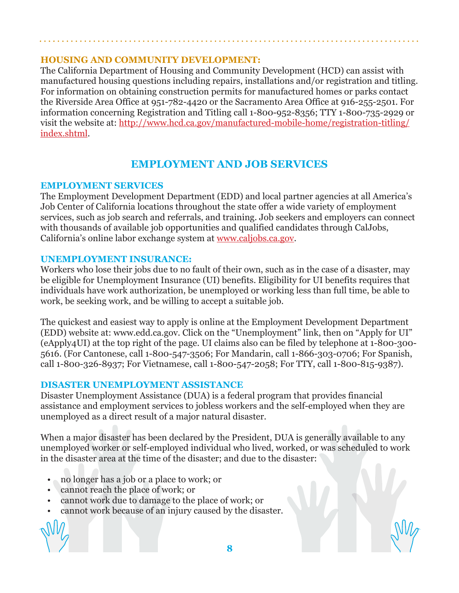## **HOUSING AND COMMUNITY DEVELOPMENT:**

The California Department of Housing and Community Development (HCD) can assist with manufactured housing questions including repairs, installations and/or registration and titling. For information on obtaining construction permits for manufactured homes or parks contact the Riverside Area Office at 951-782-4420 or the Sacramento Area Office at 916-255-2501. For information concerning Registration and Titling call 1-800-952-8356; TTY 1-800-735-2929 or visit the website at: [http://www.hcd.ca.gov/manufactured-mobile-home/registration-titling/](http://www.hcd.ca.gov/manufactured-mobile-home/registration-titling/index.shtml) [index.shtml.](http://www.hcd.ca.gov/manufactured-mobile-home/registration-titling/index.shtml)

# **EMPLOYMENT AND JOB SERVICES**

## **EMPLOYMENT SERVICES**

The Employment Development Department (EDD) and local partner agencies at all America's Job Center of California locations throughout the state offer a wide variety of employment services, such as job search and referrals, and training. Job seekers and employers can connect with thousands of available job opportunities and qualified candidates through CalJobs, California's online labor exchange system at www.caljobs.ca.gov.

## **UNEMPLOYMENT INSURANCE:**

Workers who lose their jobs due to no fault of their own, such as in the case of a disaster, may be eligible for Unemployment Insurance (UI) benefits. Eligibility for UI benefits requires that individuals have work authorization, be unemployed or working less than full time, be able to work, be seeking work, and be willing to accept a suitable job.

The quickest and easiest way to apply is online at the Employment Development Department (EDD) website at: www.edd.ca.gov. Click on the "Unemployment" link, then on "Apply for UI" (eApply4UI) at the top right of the page. UI claims also can be filed by telephone at 1-800-300- 5616. (For Cantonese, call 1-800-547-3506; For Mandarin, call 1-866-303-0706; For Spanish, call 1-800-326-8937; For Vietnamese, call 1-800-547-2058; For TTY, call 1-800-815-9387).

## **DISASTER UNEMPLOYMENT ASSISTANCE**

Disaster Unemployment Assistance (DUA) is a federal program that provides financial assistance and employment services to jobless workers and the self-employed when they are unemployed as a direct result of a major natural disaster.

When a major disaster has been declared by the President, DUA is generally available to any unemployed worker or self-employed individual who lived, worked, or was scheduled to work in the disaster area at the time of the disaster; and due to the disaster:

- no longer has a job or a place to work; or
- cannot reach the place of work; or
- cannot work due to damage to the place of work; or
- cannot work because of an injury caused by the disaster.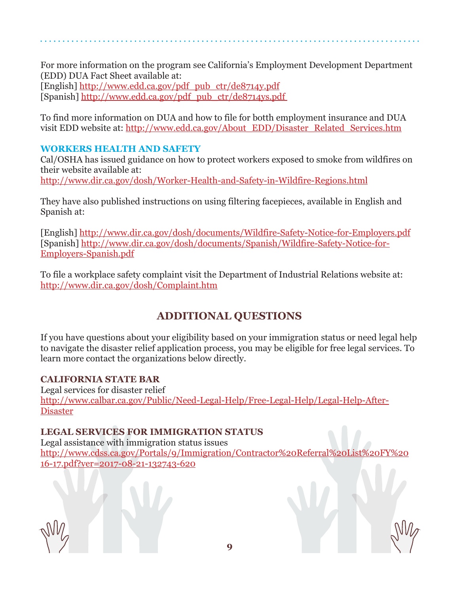For more information on the program see California's Employment Development Department (EDD) DUA Fact Sheet available at: [English] http://www.edd.ca.gov/pdf\_pub\_ctr/de8714y.pdf [Spanish] http://www.edd.ca.gov/pdf\_pub\_ctr/de8714ys.pdf

To find more information on DUA and how to file for botth employment insurance and DUA visit EDD website at: http://www.edd.ca.gov/About\_EDD/Disaster\_Related\_Services.htm

## **WORKERS HEALTH AND SAFETY**

Cal/OSHA has issued guidance on how to protect workers exposed to smoke from wildfires on their website available at: http://www.dir.ca.gov/dosh/Worker-Health-and-Safety-in-Wildfire-Regions.html

They have also published instructions on using filtering facepieces, available in English and Spanish at:

[English] http://www.dir.ca.gov/dosh/documents/Wildfire-Safety-Notice-for-Employers.pdf [Spanish] http://www.dir.ca.gov/dosh/documents/Spanish/Wildfire-Safety-Notice-for-Employers-Spanish.pdf

To file a workplace safety complaint visit the Department of Industrial Relations website at: http://www.dir.ca.gov/dosh/Complaint.htm

# **ADDITIONAL QUESTIONS**

If you have questions about your eligibility based on your immigration status or need legal help to navigate the disaster relief application process, you may be eligible for free legal services. To learn more contact the organizations below directly.

## **CALIFORNIA STATE BAR**

Legal services for disaster relief http://www.calbar.ca.gov/Public/Need-Legal-Help/Free-Legal-Help/Legal-Help-After-Disaster

## **LEGAL SERVICES FOR IMMIGRATION STATUS**

Legal assistance with immigration status issues [http://www.cdss.ca.gov/Portals/9/Immigration/Contractor%20Referral%20List%20FY%20](http://www.cdss.ca.gov/Portals/9/Immigration/Contractor%20Referral%20List%20FY%2016-17.pdf?ver=2017-08-21-132743-620) [16-17.pdf?ver=2017-08-21-132743-620](http://www.cdss.ca.gov/Portals/9/Immigration/Contractor%20Referral%20List%20FY%2016-17.pdf?ver=2017-08-21-132743-620)